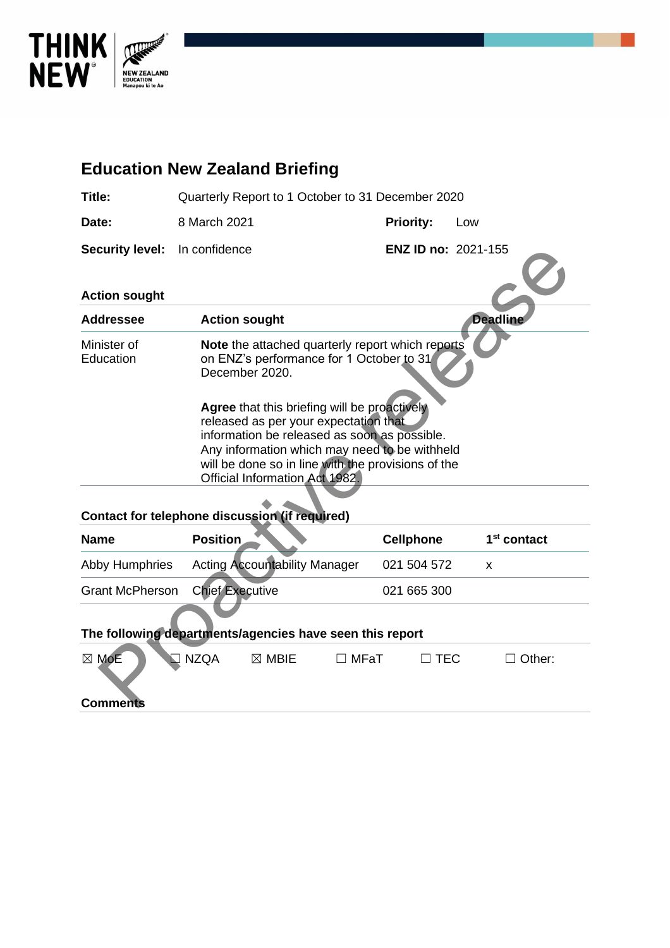

# **Education New Zealand Briefing Title:** Quarterly Report to 1 October to 31 December 2020 **Date:** 8 March 2021 **Priority:** Low **Security level:** In confidence **ENZ ID no:** 2021-155 **Action sought Addressee Action sought Deadline** Minister of Education **Note** the attached quarterly report which reports on ENZ's performance for 1 October to 31 December 2020. **Agree** that this briefing will be proactively released as per your expectation that information be released as soon as possible. Any information which may need to be withheld will be done so in line with the provisions of the Official Information Act 1982. ENZ ID no: 2021-155<br>
tion sought<br>
dresse Action sought<br>
action<br>
More the attached quarterly report which reports<br>
the more than this briefing will be proactively<br>
creased as per your expectation in the second<br>
Agree that

#### **Contact for telephone discussion (if required)**

| <b>Name</b>                            | <b>Position</b>                      | <b>Cellphone</b> | 1 <sup>st</sup> contact |
|----------------------------------------|--------------------------------------|------------------|-------------------------|
| Abby Humphries                         | <b>Acting Accountability Manager</b> | 021 504 572      |                         |
| <b>Grant McPherson</b> Chief Executive |                                      | 021 665 300      |                         |
|                                        |                                      |                  |                         |

#### **The following departments/agencies have seen this report**

| $\boxtimes$ MoE | I⊡ NZQA | $\boxtimes$ MBIE | ∣ MFaT | l TEC | $\sqsupset$ Other: |  |
|-----------------|---------|------------------|--------|-------|--------------------|--|
| <b>Comments</b> |         |                  |        |       |                    |  |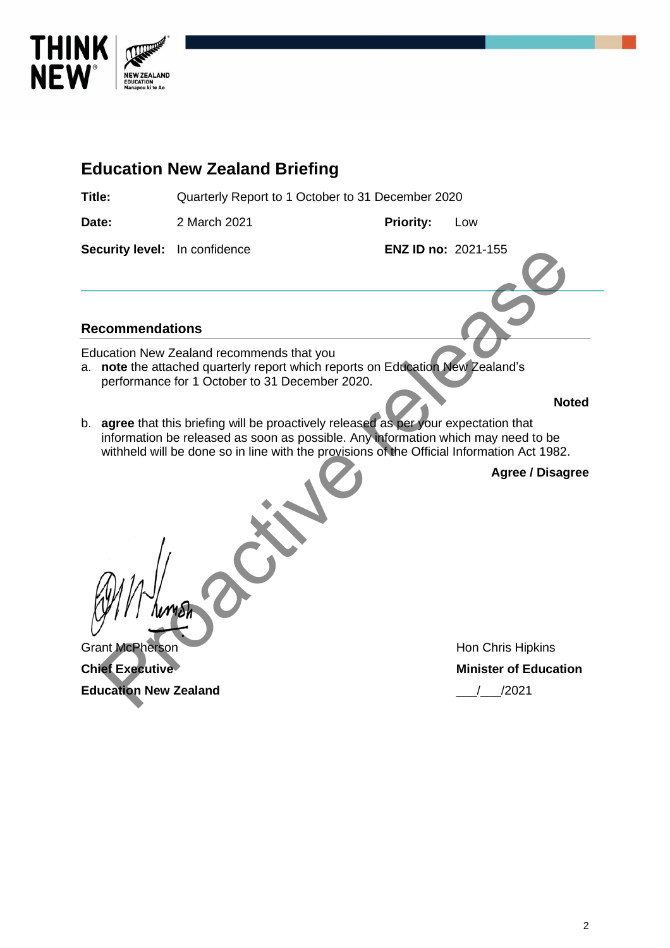